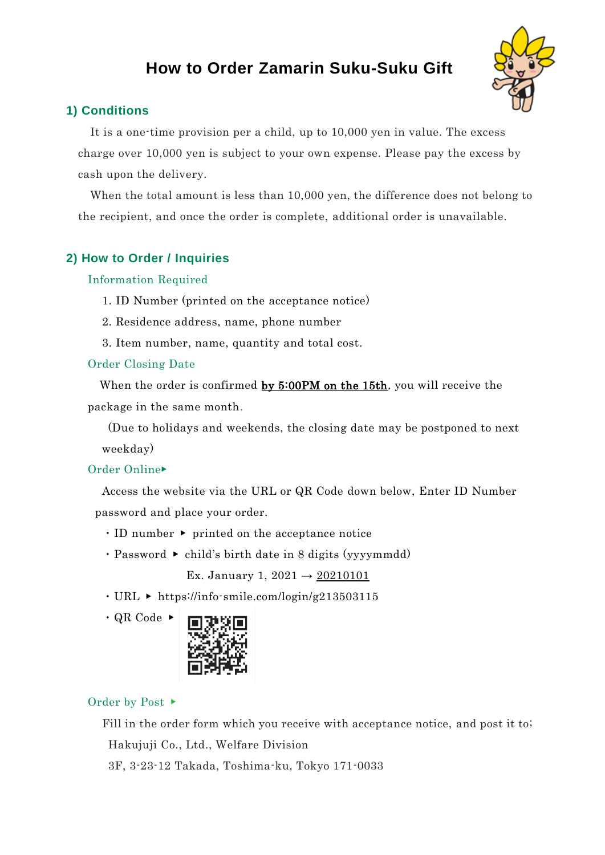# **How to Order Zamarin Suku-Suku Gift**



## **1) Conditions**

It is a one-time provision per a child, up to 10,000 yen in value. The excess charge over 10,000 yen is subject to your own expense. Please pay the excess by cash upon the delivery.

When the total amount is less than 10,000 yen, the difference does not belong to the recipient, and once the order is complete, additional order is unavailable.

## **2) How to Order / Inquiries**

#### Information Required

- 1. ID Number (printed on the acceptance notice)
- 2. Residence address, name, phone number
- 3. Item number, name, quantity and total cost.

#### Order Closing Date

When the order is confirmed by 5:00PM on the 15th, you will receive the package in the same month.

(Due to holidays and weekends, the closing date may be postponed to next weekday)

### Order Online▶

Access the website via the URL or QR Code down below, Enter ID Number password and place your order.

- ・ID number ▶ printed on the acceptance notice
- $\cdot$  Password  $\triangleright$  child's birth date in 8 digits (yyyymmdd)

Ex. January 1,  $2021 \rightarrow 20210101$ 

・URL ▶ https://info-smile.com/login/g213503115

 $\cdot$  QR Code  $\triangleright$ 



### Order by Post ▶

Fill in the order form which you receive with acceptance notice, and post it to; Hakujuji Co., Ltd., Welfare Division 3F, 3-23-12 Takada, Toshima-ku, Tokyo 171-0033